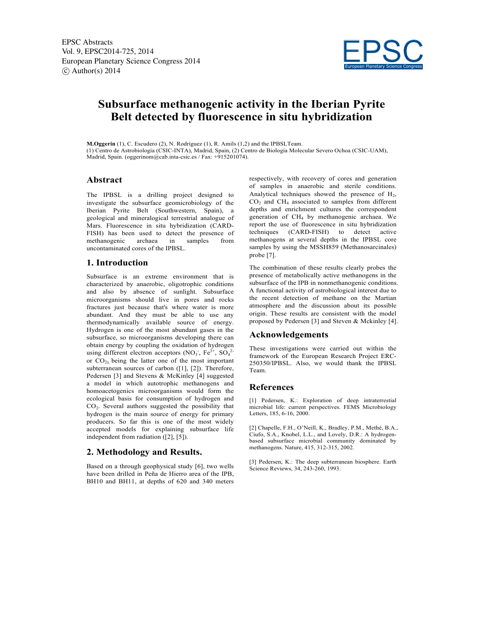

# **Subsurface methanogenic activity in the Iberian Pyrite Belt detected by fluorescence in situ hybridization**

**M.Oggerin** (1), C. Escudero (2), N. Rodríguez (1), R. Amils (1,2) and the IPBSLTeam. (1) Centro de Astrobiología (CSIC-INTA), Madrid, Spain, (2) Centro de Biología Molecular Severo Ochoa (CSIC-UAM), Madrid, Spain. (oggerinom@cab.inta-csic.es / Fax: +915201074).

## **Abstract**

The IPBSL is a drilling project designed to investigate the subsurface geomicrobiology of the Iberian Pyrite Belt (Southwestern, Spain), a geological and mineralogical terrestrial analogue of Mars. Fluorescence in situ hybridization (CARD-FISH) has been used to detect the presence of methanogenic archaea in samples from uncontaminated cores of the IPBSL.

### **1. Introduction**

Subsurface is an extreme environment that is characterized by anaerobic, oligotrophic conditions and also by absence of sunlight. Subsurface microorganisms should live in pores and rocks fractures just because that's where water is more abundant. And they must be able to use any thermodynamically available source of energy. Hydrogen is one of the most abundant gases in the subsurface, so microorganisms developing there can obtain energy by coupling the oxidation of hydrogen using different electron acceptors (NO<sub>3</sub>, Fe<sup>3+</sup>, SO<sub>4</sub><sup>2-</sup> or  $CO<sub>2</sub>$  being the latter one of the most important subterranean sources of carbon ([1], [2]). Therefore, Pedersen [3] and Stevens & McKinley [4] suggested a model in which autotrophic methanogens and homoacetogenics microorganisms would form the ecological basis for consumption of hydrogen and CO2. Several authors suggested the possibility that hydrogen is the main source of energy for primary producers. So far this is one of the most widely accepted models for explaining subsurface life independent from radiation ([2], [5]).

### **2. Methodology and Results.**

Based on a through geophysical study [6], two wells have been drilled in Peña de Hierro area of the IPB, BH10 and BH11, at depths of 620 and 340 meters

respectively, with recovery of cores and generation of samples in anaerobic and sterile conditions. Analytical techniques showed the presence of  $H<sub>2</sub>$ , CO2 and CH4 associated to samples from different depths and enrichment cultures the correspondent generation of CH4 by methanogenic archaea. We report the use of fluorescence in situ hybridization techniques (CARD-FISH) to detect active methanogens at several depths in the IPBSL core samples by using the MSSH859 (Methanosarcinales) probe [7].

The combination of these results clearly probes the presence of metabolically active methanogens in the subsurface of the IPB in nonmethanogenic conditions. A functional activity of astrobiological interest due to the recent detection of methane on the Martian atmosphere and the discussion about its possible origin. These results are consistent with the model proposed by Pedersen [3] and Steven & Mckinley [4].

#### **Acknowledgements**

These investigations were carried out within the framework of the European Research Project ERC-250350/IPBSL. Also, we would thank the IPBSL Team.

### **References**

[1] Pedersen, K.: Exploration of deep intraterrestial microbial life: current perspectives. FEMS Microbiology Letters, 185, 6-16, 2000.

[2] Chapelle, F.H., O'Neill, K., Bradley, P.M., Methé, B.A., Ciufo, S.A., Knobel, L.L., and Lovely, D.R.: A hydrogenbased subsurface microbial community dominated by methanogens. Nature, 415, 312-315, 2002.

[3] Pedersen, K.: The deep subterranean biosphere. Earth Science Reviews, 34, 243-260, 1993.